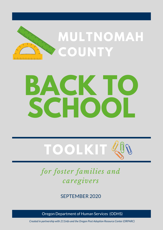

# **BACK TO SCHOOL**



## *for foster families and caregivers*

### SEPTEMBER 2020

Oregon Department of Human Services (ODHS)

*Created in partnership with 211info and the Oregon Post Adoption Resource Center (ORPARC)*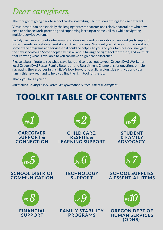## *Dear caregivers,*

The thought of going back to school can be so exciting… but this year things look so different!

Virtual school can be especially challenging for foster parents and relative caretakers who now need to balance work, parenting and supporting learning at home... all this while navigating multiple service systems!

Luckily, we live in a county where many professionals and organizations have said yes to support foster parents and relative caretakers in their journeys. We want you to have information about some of the programs and services that could be helpful to you and your family as you navigate the new school year. Some people say it is all about having the right tool for the job, and we think that knowing what is available to you can make a significant difference!

Please take a minute to see what is available and to reach out to your Oregon DHS Worker or local Oregon DHS Foster Family Retention and Recruitment Champions for questions or help navigating the resources in this kit. We look forward to walking alongside with you and your family this new year and to help you find the right tool for the job.

Thank you for all you do.

*Multnomah County ODHS Foster Family Retention & Recruitments Champions*

## **TOOLKIT TABLE OF CONTENTS**

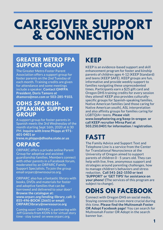## **CAREGIVER SUPPORT & CONNECTION**

### **GREATER METRO FPA KEEP SUPPORT GROUP**

The Greater Metro Foster Parent Association offers a support group for foster parents on the 2nd Tuesday of each month. Training credits are given for attendance and some meetings include a speaker. **Contact GMFPA President, Doris Tamoro at dtamoro@msn.com or 503-285-9103.**

### **ODHS SPANISH-SPEAKING SUPPORT GROUP**

A support group for foster parents in Spanish meets the 3rd Wednesday of the month starting Sept 16th, 2020 at 6:30 PM. **Inquire with Irene Phipps at 971- 601-0401 or Irene.m.phipps@dhsoha.state.or.us**

### **ORPARC**

ORPARC offers a private online Parent Group for adoptive and assisted guardianship families. Members connect with other parents in a Facebook forum, moderated by an ORPARC Family Support Specialists. To join the group email orparc@nwresource.org.

ORPARC also has a fantastic library with books, DVDs and materials for foster and adoptive families that can be borrowed and delivered to your door! **Browse the catalogue at: www.orparc.org/lending-library, call: 1- 855-496-BOOK (2665) or email: ORPARClibrary@nwresource.org**

Coming soon! ORPARC is partnering with Jeff Gianola from KOIN 6 for virtual story time - stay tuned on www.orparc.org.

KEEP is an evidence-based support and skill enhancement program for foster and kinship parents of children ages 4-12 (KEEP Standard) and teens (KEEP SAFE). KEEP groups are fun, informative and provide weekly support to families navigating these unprecedented times. Participants earn a \$25 gift card and Oregon DHS training credits for every session they attend! KEEP also provides culturallyspecific groups for Spanish-speaking families, Native American families (and those caring for Native American youth), ASL interpretation and also affinity groups for families caring for LGBTQIA+ teens. **Please visit www.keepfostering.org/keep-in-oregon or call KEEP recruiter Mirna Pani at 503.250.0401 for information / registration.**

## **FASTT**

The Family Advice and Support Text and Telephone Line is a service from the Center for Translational Neuroscience at the University of Oregon aimed to support parents of children 0 - 5 years old. They can help with live, free, anonymous support and strategies around parenting challenges, how to manage children's behaviors and stress reduction. **Call 541-262-1550 or text 'SUPPORT' or 'GET TIPS' for assistance on your phone! (**The services of this program are subject to change).

## **ODHS ON FACEBOOK**

Connect with Oregon DHS on social media. Staying connected is even more crucial during this time. **Please find the Multnomah Foster OR Adopt Facebook page!** You can search for Multnomah Foster OR Adopt in the search banner bar.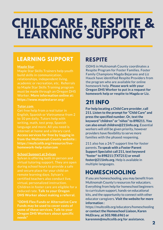## **CHILDCARE, RESPITE & LEARNING SUPPORT**

### **LEARNING SUPPORT**

#### **Maple Star**

Maple Star Skills Trainers help youth build skills in communication, relationships, independent living, academic or recreation, etc. Referrals to Maple Star Skills Training program must be made through an Oregon DHS Worker. **More information online at: https://www.maplestaror.org/**

#### **Tutor.com**

Get free help from a real tutor in English, Spanish or Vietnamese from 2 to 10 pm daily. Tutors help with writing, math, test prep, Spanish language and more. All you need is internet at home and a library card. **Access services for free by logging in from the Multnomah County website : https://multcolib.org/resource/livehomework-help-tutorcom**

#### **School Support at Sylvan**

Sylvan is offering both in-person and virtual tutoring support. They are open during school hours to provide a safe and secure place for your child on remote learning days. Sylvan's certified teachers also conduct live, virtual, personalized instruction. Children in foster care are eligible for a reduced rate. **Talk to your Oregon DHS Worker about making a referral.**

**\*ODHS Flex Funds or Alternative Care Funds may be used to cover costs of some of these services. Talk to your Oregon DHS Workers about specific needs\***

### **RESPITE**

ODHS in Multnomah County coordinates a Respite Program for Foster Families. Foster Family Champions Magda Bejarano and Liz Hauck have identified Respite Providers from the program who are available for online homework help. **Please work with your Oregon DHS Worker to put in a request for homework help or respite to Magda or Liz.**

### **211 INFO**

**For help locating a Child Care provider, call 211. Listen to the promptfor "Child Care" and press the specified number. Or, text the keyword "children" or "niños"to 898211. You can also email children@211info.org.** Essential workers will still be given priority, however providers have flexibility to serve more families with the phased reopening.

211 also has a 24/7 support line for foster parents. **To speak with a Foster Parent Support Specialist call 211, text keyword "foster" to 898211 (TXT211) or email foster@211info.org.** Help is available in multiple languages.

## **HOMESCHOOLING**

If you are homeschooling, you may benefit from Multnomah County's resources for educators. Everything from help for homeschool beginners to curriculum support, hands-on educational kits, and the opportunity to connect with other educator caregivers. **Visitthe website for more information :**

https://multcolib.org/educators/homeschooling **or contactthe Homeschool Liaison, Karen McElravy, at 503.988.6961 or karenmm@multcolib.org for assistance.**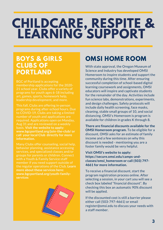## **CHILDCARE, RESPITE & LEARNING SUPPORT**

### **BOYS & GIRLS CLUBS OF PORTLAND**

BGC of Portland is accepting membership applications for the 2020- 21 school year. Clubs offer a variety of programs for youth ages 6-18 including art, games, sports, homework help, leadership development, and more.

This fall, Clubs are offering in-person programs during after-school hours. Due to COVID-19, Clubs are taking a limited number of youth and applications are required. Applications open on Monday, Aug 31 and are reviewed on a weekly basis. **Visit the website to apply: www.bgcportland.org/join-the-club/ or call your local Club directly for more information.**

Many Clubs offer counseling, social help, behavior planning, assistance accessing services, and specialized classes and/or groups for parents or children. Connect with a Youth & Family Service staff member if you need support outside of the regular operations of the Club. **Learn more about these services here: www.bgcportland.org/youth-familyservices**



## **OMSI HOME ROOM**

With state approval, the Oregon Museum of Science and Industry has developed OMSI Homeroom to inspire students and support the community during this time. After ensuring successful completion of school-based digital learning coursework and assignments, OMSI educators will inspire and captivate students for the remainder of the day. Activities include fun science labs, demonstrations, experiments, and design challenges. Safety protocols will include daily health screening, face masks, cleaning, stable small groups of 10, and social distancing. OMSI's Homeroom is program is available for children in grades K through 8.

**There are financial discounts available for the OMSI Homeroom program.** To be eligible for a discount, OMSI asks for an estimate of family income and a few sentences on why this discount is needed - mentioning you are a foster family would be very helpful.

**Visit OMSI's website to apply: https://secure.omsi.edu/camps-andclasses/omsi\_homeroom or call (503) 797- 4661 for more information.**

To receive a financial discount, start the program registration process online. After selecting a session, in your cart you will see a check box labeled "financial discount". By checking this box an automatic 90% discount will be applied.

If the discounted cost is still a barrier please either call (503-797-4661) or email register@omsi.edu to discuss your needs with a staff member.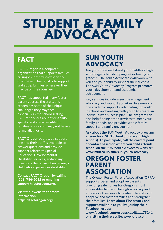## **STUDENT & FAMILY ADVOCACY**

FACT Oregon is a nonprofit organization that supports families raising children who experience disabilities. Their goal is to support and equip families, wherever they may be on their journey.

FACT has supported many foster parents across the state, and recognizes some of the unique challenges they may face, especially in the school setting. FACT's services are not disability specific and are accessible to families whose child may not have a formal diagnosis.

FACT Oregon operates a support line and their staff is available to answer questions and provide support related to Special Education, Developmental Disability Services, and/or any questions that arise when raising a child who experiences disability.

**Contact FACT Oregon by calling (503) 786-6082 or emailing support@factoregon.org.**

**Visit their website for more information: https://factoregon.org/**

## **FACT SUN YOUTH ADVOCACY**

Are you concerned about your middle or high school-aged child dropping out or having poor grades? SUN Youth Advocates will work with you and your child to support their success. The SUN Youth Advocacy Program promotes youth development and academic achievement.

Key services include assertive engagement advocacy and support activities, like one-onone academic supports, advocating for youth in school, and working with youth to create an individualized success plan. The program can also help finding other services to meet your family's needs, and provides whole family support and family engagement.

**Ask about the SUN Youth Advocacy program at your local SUN School (middle and high schools). To participate, call the correct point of contact based on where you child attends school on the SUN Youth Advocacy website: www.multco.us/sun/sun-youth-advocacy**

### **OREGON FOSTER PARENT ASSOCIATION**

The Oregon Foster Parent Association (OFPA) supports foster and adoptive parents in providing safe homes for Oregon's most vulnerable children. Through advocacy and education, they work to protect the rights of adoptive and foster families and strengthen their families. **Learn about FPA's work and support available to you by joining their Facebook group:**

**www.facebook.com/groups/114811175241 or visiting their website: www.ofpa.com.**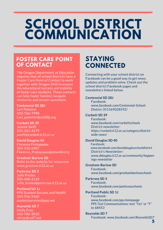## **SCHOOL DISTRICT COMMUNICATION**

### **FOSTER CARE POINT OF CONTACT**

The Oregon Department of Education requires that all school districts have a Foster Care Point of Contact to work together with Oregon DHS to ensure the educational success and stability of foster care students. These contacts can help foster families navigate resources and answer questions.

**Centennial SD 28J** Lori Palmiter 503-760-7990 Lori\_palmiter@csd28j.org

**Corbett SD 39** Jeanne Swift 503-261-4279 jswift@corbett.k12.or.us

**David Douglas 40** Florence Protopapas 503-310-6987 Florence\_Protopapas@ddsd40.org

**Gresham-Barlow SD** Refer to the website for resources www.gresham.k12.or.us

**Parkrose SD 3** Julie Knoles 503-408-2143 Julie\_knoles@parkrose.k12.or.us

**Portland SD 1J** PPS Student Success and Health 503-916-5460 studentservices@pps.net

**Reynolds SD 7** Molly Frye 503-780-3010 mfrye@rsd7.net

## **STAYING CONNECTED**

Connecting with your school district on Facebook can be a good way to get news, updates and problem solve. Check out the school district Facebook pages and newsletters linked below.

#### **Centennial SD 28J**

Facebook: *www.facebook.com/Centennial-School-District-351569028592/*

#### **Corbett SD 39**

Facebook: *www.facebook.com/corbettschools* District newsletter: *https://corbett.k12.or.us/category/districtwide-news/*

#### **David Douglas SD 40**

Facebook: *www.facebook.com/daviddouglasschooldistrict* District's Newsletter: *www.ddouglas.k12.or.us/community/happen ings-newsletter*

#### **Gresham-Barlow SD**

Facebook: *www.facebook.com/greshambarlowschools*

#### **Parkrose SD 3**

Facebook: *www.facebook.com/parkroseschools*

#### **Portland Public SD 1J**

Facebook: *www.facebook.com/pps.homepage PPS Text Communications: text "Yes" or "Y" to 68453*

**Reynolds SD 7**

Facebook: *www.facebook.com/ReynoldsSD7*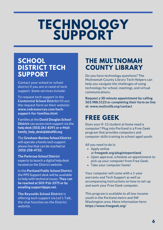## **TECHNOLOGY SUPPORT**

## **SCHOOL DISTRICT TECH**

Contact your school or school district if you are in need of tech support. Some services include:

To request tech support in the **Centennial School District** fill out the request form on their website: **www.csdresources.com/techsupport-for-families.html**

Families at the **David Douglas School District** can access tech support via the **help desk (503) 261-8391 or e-Mail: family\_help\_desk@ddsd40.org**

The **Gresham-Barlow School District** will operate a family tech support phone line that can be reached at (**503)-258-4733.**

**The Parkrose School District** expects to launch a digital help desk located on the District website.

In the **Portland Public School District**, the PPS Support desk will be available to help with technical issues. **They can be reached at 503-916-3375 or by emailing support@pps.net.**

**The Reynolds School District** is offering tech support via Let's Talk, the chat function on the District website.

## **THE MULTNOMAH COUNTY LIBRARY**

Do you have technology questions? The Multnomah County Library Tech Helpers can help you navigate the challenges of using technology for school, meetings, and virtual communications.

**Request a 30-minute appointment by calling 503.988.5123 or completing their form on line at: www.multcolib.org/contact**

## **FREE GEEK**

Does your K-12 student at home need a computer? Plug into Portland is a Free Geek program that provides computers and computer skills training to school-aged youth.

All you need to do is:

- Apply online at **freegeek.org/plugintoportland**.
- Upon approval, schedule an appointment to pick up your computer from Free Geek.
- Take your computer home!

Your computer will come with a 1-year warranty and Tech Support as well as accompanying instructions on how to set-up and work your Free Geek computer.

This program is available to all low-income youth in the Portland metro and SW Washington area. More information here: **https://www.freegeek.org/**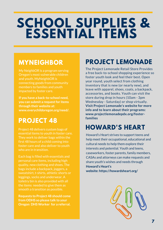## **SCHOOL SUPPLIES & ESSENTIAL ITEMS**

My NeighbOR is a program serving Oregon's most vulnerable children and youth. MyNeighbOR is connecting goods from community members to families and youth impacted by foster care.

**If you have a back-to-school need, you can submit a requestfor items through their website at: www.everychildoregon.org/need/.**

## **PROJECT 48**

Project 48 delivers custom bags of essential items to youth in foster care. They work to deliver bags within the first 48 hours of a child coming into foster care and also deliver to youth who are in transition.

Each bag is filled with essentials and personal care items, including high quality, new clothing and shoes. The bags include a backpack, joggers, a sweatshirt, t-shirts, athletic shorts or leggings, socks and underwear. A toiletry bin is also provided with all the items needed to give them as smooth a transition as possible.

**Requests to Project 48 should come from ODHS so please talk to your Oregon DHS Worker for a referral.**

## **MYNEIGHBOR PROJECT LEMONADE**

The Project Lemonade Retail Store Provides a free back-to-school shopping experience so foster youth look and feel their best. Open year round, youth select from clothing inventory that is new (or nearly new), and leave with apparel, shoes, coats, a backpack, accessories, and books. Youth can visit the store during drop in hours (10am - 3pm Wednesday - Saturday) or shop virtually. **Visit Project Lemonade's website for more info and to learn about their programs: www.projectlemonadepdx.org/fosterfamilies**

## **HOWARD'S HEART**

Howard's Heart strives to support teens and help meet their occupational, educational and cultural needs to help them explore their interests and potential. Youth and teens, caseworkers, foster parents, family members, CASAs and attorneys can make requests and share youth's wishes and needs through **Howard's Heart's website: https://howardsheart.org/**

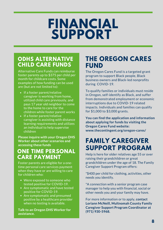## **FINANCIAL SUPPORT**

### **ODHS ALTERNATIVE CHILD CARE FUNDS**

Alternative Care Funds can reimburse foster parents up to \$375 per child per month for childcare costs. Some examples of how funding can be used are (but are not limited to):

- $\bullet$  If a foster parent/relative caregiver is working from home, utilized child care previously, and pays 17 year old neighbor to come to the home to care for the children while foster parent works
- $\bullet$  If a foster parent/relative caregiver is assisting with distance learning requirements and utilizes an individual to help supervise children

**Please inquire with your Oregon DHS Worker about other scenarios and accessing these funds**

### **ONE TIME PERSONAL CARE PAYMENT**

Foster parents are eligible for a onetime personal care services payment when they have or are willing to care for children who:

- Were exposed to someone who tested positive for COVID-19.
- Are symptomatic and have tested positive for COVID-19.
- Are symptomatic and presumed positive by a healthcare provider when no testing is available.

**Talk to an Oregon DHS Worker for assistance.**

### **THE OREGON CARES FUND**

The Oregon Cares Fund is a targeted grant program to support Black people, Black business owners and Black-led nonprofits during COVID-19.

To qualify families or individuals must reside in Oregon, self-identify as Black, and suffer from demonstrated employment or economic interruptions due to COVID-19 related impacts. Individuals and families can qualify for \$1,000 to \$3,000 grants.

**You can find the application and information about applying for funds by visiting the Oregon Cares Fund website: www.thecontingent.org/oregon-cares/**

## **FAMILY CAREGIVER SUPPORT PROGRAM**

Help is here for older relatives age 55 or over raising their grandchildren or great grandchildren under the age of 18. The Family Caregiver Support Program offers:

\*\$400 per child for clothing, activities, other needs you identify.

\*A connection with a senior program case manager to help you with financial, social or other needs you and your family may have.

For more information or to apply, **contact Loriann McNeill, Multnomah County Family Caregiver Support Program Coordinator at (971) 930-5968.**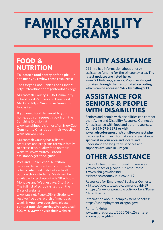## **FAMILY STABILITY PROGRAMS**

**To locate a food pantry or food pick-up site near you review these resources:**

The Oregon Food Bank's Food Finder: https://foodfinder.oregonfoodbank.org/

Multnomah County's SUN Community School Food Pantries and Free Food Markets: https://multco.us/sun/sunfood-sites

If you need food delivered to your home, you can request a box from the Sunshine Division at: www.sunshinedivision.org/ or SnowCap Community Charities on their website: www.snowcap.org

Multnomah County has a list of resources and programs for your family to access free, quality food on their website: www.multco.us/foodassistance/get-food-guide

Portland Public School Nutrition Services department will continue to offer onsite meal distribution to all public-school students. Meals will be available for pickup outside 38 schools, Mondays and Wednesdays, 3 to 5 p.m. The full list of schools/sites is on the District website:

www.pps.net/Page/15846. Students will receive five days' worth of meals each week. **If you have questions please contact nutritionservices@pps.net, call 503-916-3399 or visit their website.**

## **FOOD & UTILITY ASSISTANCE**

211info has information about energy assistance funding for the tri-county area. **The latest updates are listed here: www.211info.org/energy. You may also get updates through their automated recording, which can be accessed 24/7 by calling 211.**

### **ASSISTANCE FOR SENIORS & PEOPLE WITH DISABILITIES**

Seniors and people with disabilities can contact their Aging and Disability Resource Connection for assistance with food and other resources. **Call 1-855-673-2372 or visit www.adrcoforegon.org/consite/connect.php** to connect with an information and assistance

specialist in your area and locate and understand the long-term services and supports available in Oregon.

## **OTHER ASSISTANCE**

Covid-19 Resources for Small Businesses:

- www.onacc.org/covid-19-resources/
- www.sba.gov/disaster-

assistance/coronavirus-covid-19

Resources for Employee / Business Owners:

- https://govstatus.egov.com/or-covid-19
- •https://www.oregon.gov/boli/workers/Pages /default.aspx

Information about unemployment benefits: https://unemployment.oregon.gov/

Renter's rights: www.myoregon.gov/2020/08/12/rentersknow-your-rights/